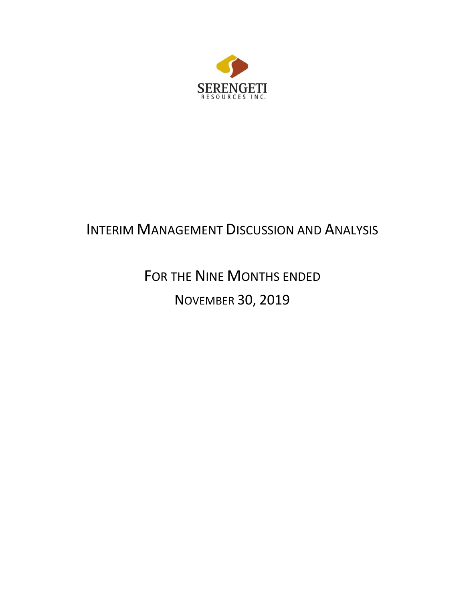

# INTERIM MANAGEMENT DISCUSSION AND ANALYSIS

# FOR THE NINE MONTHS ENDED NOVEMBER 30, 2019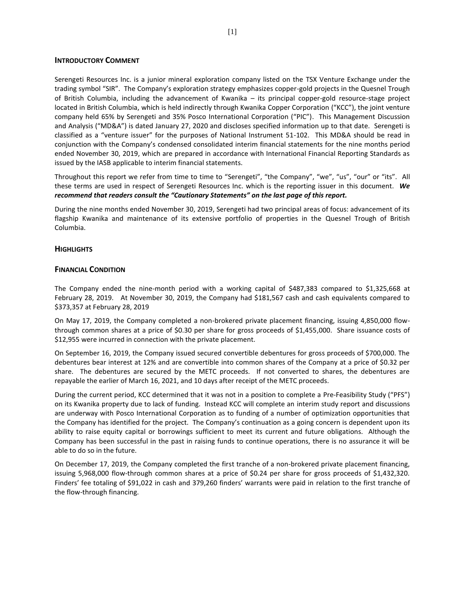#### **INTRODUCTORY COMMENT**

Serengeti Resources Inc. is a junior mineral exploration company listed on the TSX Venture Exchange under the trading symbol "SIR". The Company's exploration strategy emphasizes copper-gold projects in the Quesnel Trough of British Columbia, including the advancement of Kwanika – its principal copper-gold resource-stage project located in British Columbia, which is held indirectly through Kwanika Copper Corporation ("KCC"), the joint venture company held 65% by Serengeti and 35% Posco International Corporation ("PIC"). This Management Discussion and Analysis ("MD&A") is dated January 27, 2020 and discloses specified information up to that date. Serengeti is classified as a "venture issuer" for the purposes of National Instrument 51-102. This MD&A should be read in conjunction with the Company's condensed consolidated interim financial statements for the nine months period ended November 30, 2019, which are prepared in accordance with International Financial Reporting Standards as issued by the IASB applicable to interim financial statements.

Throughout this report we refer from time to time to "Serengeti", "the Company", "we", "us", "our" or "its". All these terms are used in respect of Serengeti Resources Inc. which is the reporting issuer in this document. *We recommend that readers consult the "Cautionary Statements" on the last page of this report.*

During the nine months ended November 30, 2019, Serengeti had two principal areas of focus: advancement of its flagship Kwanika and maintenance of its extensive portfolio of properties in the Quesnel Trough of British Columbia.

# **HIGHLIGHTS**

# **FINANCIAL CONDITION**

The Company ended the nine-month period with a working capital of \$487,383 compared to \$1,325,668 at February 28, 2019. At November 30, 2019, the Company had \$181,567 cash and cash equivalents compared to \$373,357 at February 28, 2019

On May 17, 2019, the Company completed a non-brokered private placement financing, issuing 4,850,000 flowthrough common shares at a price of \$0.30 per share for gross proceeds of \$1,455,000. Share issuance costs of \$12,955 were incurred in connection with the private placement.

On September 16, 2019, the Company issued secured convertible debentures for gross proceeds of \$700,000. The debentures bear interest at 12% and are convertible into common shares of the Company at a price of \$0.32 per share. The debentures are secured by the METC proceeds. If not converted to shares, the debentures are repayable the earlier of March 16, 2021, and 10 days after receipt of the METC proceeds.

During the current period, KCC determined that it was not in a position to complete a Pre-Feasibility Study ("PFS") on its Kwanika property due to lack of funding. Instead KCC will complete an interim study report and discussions are underway with Posco International Corporation as to funding of a number of optimization opportunities that the Company has identified for the project. The Company's continuation as a going concern is dependent upon its ability to raise equity capital or borrowings sufficient to meet its current and future obligations. Although the Company has been successful in the past in raising funds to continue operations, there is no assurance it will be able to do so in the future.

On December 17, 2019, the Company completed the first tranche of a non-brokered private placement financing, issuing 5,968,000 flow-through common shares at a price of \$0.24 per share for gross proceeds of \$1,432,320. Finders' fee totaling of \$91,022 in cash and 379,260 finders' warrants were paid in relation to the first tranche of the flow-through financing.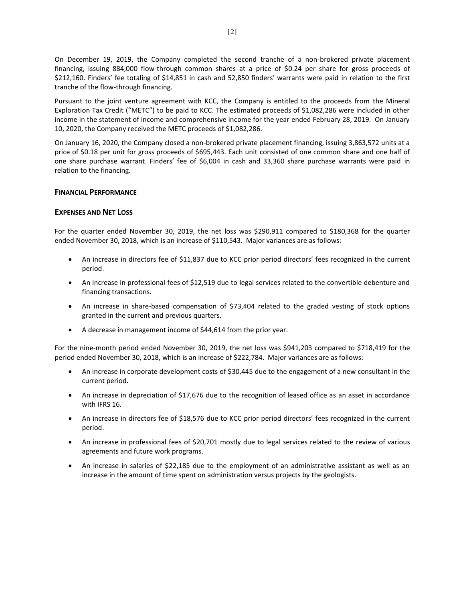On December 19, 2019, the Company completed the second tranche of a non-brokered private placement financing, issuing 884,000 flow-through common shares at a price of \$0.24 per share for gross proceeds of \$212,160. Finders' fee totaling of \$14,851 in cash and 52,850 finders' warrants were paid in relation to the first tranche of the flow-through financing.

Pursuant to the joint venture agreement with KCC, the Company is entitled to the proceeds from the Mineral Exploration Tax Credit ("METC") to be paid to KCC. The estimated proceeds of \$1,082,286 were included in other income in the statement of income and comprehensive income for the year ended February 28, 2019. On January 10, 2020, the Company received the METC proceeds of \$1,082,286.

On January 16, 2020, the Company closed a non-brokered private placement financing, issuing 3,863,572 units at a price of \$0.18 per unit for gross proceeds of \$695,443. Each unit consisted of one common share and one half of one share purchase warrant. Finders' fee of \$6,004 in cash and 33,360 share purchase warrants were paid in relation to the financing.

# **FINANCIAL PERFORMANCE**

# **EXPENSES AND NET LOSS**

For the quarter ended November 30, 2019, the net loss was \$290,911 compared to \$180,368 for the quarter ended November 30, 2018, which is an increase of \$110,543. Major variances are as follows:

- An increase in directors fee of \$11,837 due to KCC prior period directors' fees recognized in the current period.
- An increase in professional fees of \$12,519 due to legal services related to the convertible debenture and financing transactions.
- An increase in share-based compensation of \$73,404 related to the graded vesting of stock options granted in the current and previous quarters.
- A decrease in management income of \$44,614 from the prior year.

For the nine-month period ended November 30, 2019, the net loss was \$941,203 compared to \$718,419 for the period ended November 30, 2018, which is an increase of \$222,784. Major variances are as follows:

- An increase in corporate development costs of \$30,445 due to the engagement of a new consultant in the current period.
- An increase in depreciation of \$17,676 due to the recognition of leased office as an asset in accordance with IFRS 16.
- An increase in directors fee of \$18,576 due to KCC prior period directors' fees recognized in the current period.
- An increase in professional fees of \$20,701 mostly due to legal services related to the review of various agreements and future work programs.
- An increase in salaries of \$22,185 due to the employment of an administrative assistant as well as an increase in the amount of time spent on administration versus projects by the geologists.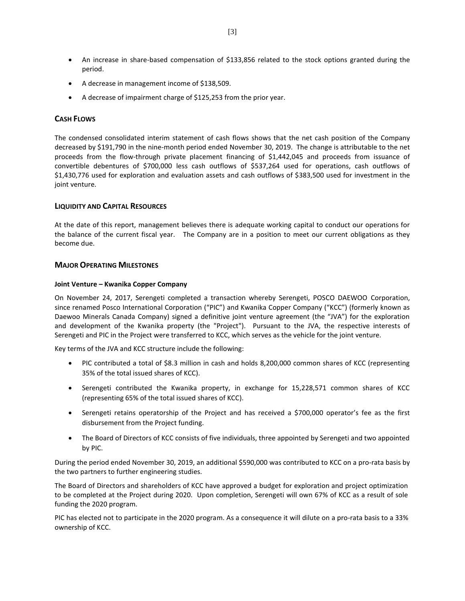- An increase in share-based compensation of \$133,856 related to the stock options granted during the period.
- A decrease in management income of \$138,509.
- A decrease of impairment charge of \$125,253 from the prior year.

# **CASH FLOWS**

The condensed consolidated interim statement of cash flows shows that the net cash position of the Company decreased by \$191,790 in the nine-month period ended November 30, 2019. The change is attributable to the net proceeds from the flow-through private placement financing of \$1,442,045 and proceeds from issuance of convertible debentures of \$700,000 less cash outflows of \$537,264 used for operations, cash outflows of \$1,430,776 used for exploration and evaluation assets and cash outflows of \$383,500 used for investment in the joint venture.

# **LIQUIDITY AND CAPITAL RESOURCES**

At the date of this report, management believes there is adequate working capital to conduct our operations for the balance of the current fiscal year. The Company are in a position to meet our current obligations as they become due.

# **MAJOR OPERATING MILESTONES**

#### **Joint Venture – Kwanika Copper Company**

On November 24, 2017, Serengeti completed a transaction whereby Serengeti, POSCO DAEWOO Corporation, since renamed Posco International Corporation ("PIC") and Kwanika Copper Company ("KCC") (formerly known as Daewoo Minerals Canada Company) signed a definitive joint venture agreement (the "JVA") for the exploration and development of the Kwanika property (the "Project"). Pursuant to the JVA, the respective interests of Serengeti and PIC in the Project were transferred to KCC, which serves as the vehicle for the joint venture.

Key terms of the JVA and KCC structure include the following:

- PIC contributed a total of \$8.3 million in cash and holds 8,200,000 common shares of KCC (representing 35% of the total issued shares of KCC).
- Serengeti contributed the Kwanika property, in exchange for 15,228,571 common shares of KCC (representing 65% of the total issued shares of KCC).
- Serengeti retains operatorship of the Project and has received a \$700,000 operator's fee as the first disbursement from the Project funding.
- The Board of Directors of KCC consists of five individuals, three appointed by Serengeti and two appointed by PIC.

During the period ended November 30, 2019, an additional \$590,000 was contributed to KCC on a pro-rata basis by the two partners to further engineering studies.

The Board of Directors and shareholders of KCC have approved a budget for exploration and project optimization to be completed at the Project during 2020. Upon completion, Serengeti will own 67% of KCC as a result of sole funding the 2020 program.

PIC has elected not to participate in the 2020 program. As a consequence it will dilute on a pro-rata basis to a 33% ownership of KCC.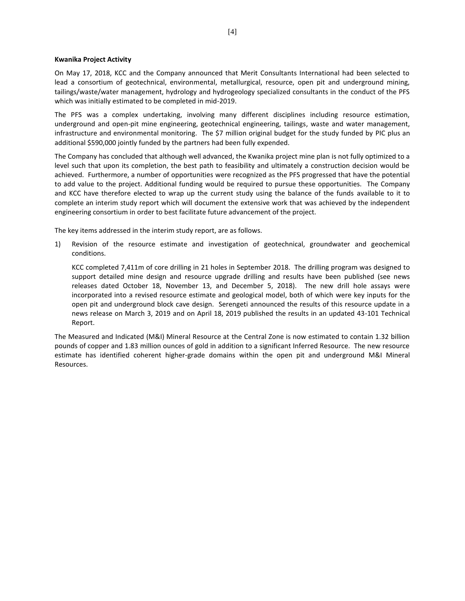#### **Kwanika Project Activity**

On May 17, 2018, KCC and the Company announced that Merit Consultants International had been selected to lead a consortium of geotechnical, environmental, metallurgical, resource, open pit and underground mining, tailings/waste/water management, hydrology and hydrogeology specialized consultants in the conduct of the PFS which was initially estimated to be completed in mid-2019.

The PFS was a complex undertaking, involving many different disciplines including resource estimation, underground and open-pit mine engineering, geotechnical engineering, tailings, waste and water management, infrastructure and environmental monitoring. The \$7 million original budget for the study funded by PIC plus an additional \$590,000 jointly funded by the partners had been fully expended.

The Company has concluded that although well advanced, the Kwanika project mine plan is not fully optimized to a level such that upon its completion, the best path to feasibility and ultimately a construction decision would be achieved. Furthermore, a number of opportunities were recognized as the PFS progressed that have the potential to add value to the project. Additional funding would be required to pursue these opportunities. The Company and KCC have therefore elected to wrap up the current study using the balance of the funds available to it to complete an interim study report which will document the extensive work that was achieved by the independent engineering consortium in order to best facilitate future advancement of the project.

The key items addressed in the interim study report, are as follows.

1) Revision of the resource estimate and investigation of geotechnical, groundwater and geochemical conditions.

KCC completed 7,411m of core drilling in 21 holes in September 2018. The drilling program was designed to support detailed mine design and resource upgrade drilling and results have been published (see news releases dated October 18, November 13, and December 5, 2018). The new drill hole assays were incorporated into a revised resource estimate and geological model, both of which were key inputs for the open pit and underground block cave design. Serengeti announced the results of this resource update in a news release on March 3, 2019 and on April 18, 2019 published the results in an updated 43-101 Technical Report.

The Measured and Indicated (M&I) Mineral Resource at the Central Zone is now estimated to contain 1.32 billion pounds of copper and 1.83 million ounces of gold in addition to a significant Inferred Resource. The new resource estimate has identified coherent higher-grade domains within the open pit and underground M&I Mineral Resources.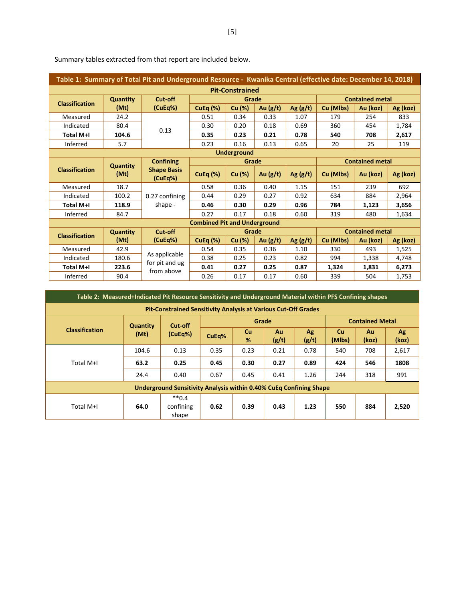| Table 1: Summary of Total Pit and Underground Resource - Kwanika Central (effective date: December 14, 2018) |                 |                                 |                                     |        |            |                        |                        |          |          |  |
|--------------------------------------------------------------------------------------------------------------|-----------------|---------------------------------|-------------------------------------|--------|------------|------------------------|------------------------|----------|----------|--|
| <b>Pit-Constrained</b>                                                                                       |                 |                                 |                                     |        |            |                        |                        |          |          |  |
| <b>Classification</b>                                                                                        | <b>Quantity</b> | Cut-off                         |                                     | Grade  |            | <b>Contained metal</b> |                        |          |          |  |
|                                                                                                              | (Mt)            | (CuEq%)                         | $CuEq (\%)$                         | Cu (%) | Au $(g/t)$ | Ag $(g/t)$             | Cu (Mlbs)              | Au (koz) | Ag (koz) |  |
| Measured                                                                                                     | 24.2            |                                 | 0.51                                | 0.34   | 0.33       | 1.07                   | 179                    | 254      | 833      |  |
| Indicated                                                                                                    | 80.4            | 0.13                            | 0.30                                | 0.20   | 0.18       | 0.69                   | 360                    | 454      | 1,784    |  |
| Total M+I                                                                                                    | 104.6           |                                 | 0.35                                | 0.23   | 0.21       | 0.78                   | 540                    | 708      | 2,617    |  |
| Inferred                                                                                                     | 5.7             |                                 | 0.23                                | 0.16   | 0.13       | 0.65                   | 20                     | 25       | 119      |  |
| <b>Underground</b>                                                                                           |                 |                                 |                                     |        |            |                        |                        |          |          |  |
|                                                                                                              | <b>Quantity</b> | <b>Confining</b>                |                                     | Grade  |            |                        | <b>Contained metal</b> |          |          |  |
| <b>Classification</b>                                                                                        | (Mt)            | <b>Shape Basis</b><br>(CuEq%)   | CuEq $(\%)$                         | Cu (%) | Au $(g/t)$ | Ag $(g/t)$             | Cu (Mlbs)              | Au (koz) | Ag (koz) |  |
| Measured                                                                                                     | 18.7            |                                 | 0.58                                | 0.36   | 0.40       | 1.15                   | 151                    | 239      | 692      |  |
| Indicated                                                                                                    | 100.2           | 0.27 confining                  | 0.44                                | 0.29   | 0.27       | 0.92                   | 634                    | 884      | 2,964    |  |
| <b>Total M+I</b>                                                                                             | 118.9           | shape -                         | 0.46                                | 0.30   | 0.29       | 0.96                   | 784                    | 1,123    | 3,656    |  |
| Inferred                                                                                                     | 84.7            |                                 | 0.27                                | 0.17   | 0.18       | 0.60                   | 319                    | 480      | 1,634    |  |
|                                                                                                              |                 |                                 | <b>Combined Pit and Underground</b> |        |            |                        |                        |          |          |  |
| <b>Classification</b>                                                                                        | <b>Quantity</b> | Cut-off                         |                                     | Grade  |            |                        | <b>Contained metal</b> |          |          |  |
|                                                                                                              | (Mt)            | (CuEq%)                         | CuEq $(\%)$                         | Cu (%) | Au $(g/t)$ | Ag $(g/t)$             | Cu (Mlbs)              | Au (koz) | Ag (koz) |  |
| Measured                                                                                                     | 42.9            |                                 | 0.54                                | 0.35   | 0.36       | 1.10                   | 330                    | 493      | 1,525    |  |
| Indicated                                                                                                    | 180.6           | As applicable<br>for pit and ug | 0.38                                | 0.25   | 0.23       | 0.82                   | 994                    | 1,338    | 4,748    |  |
| Total M+I                                                                                                    | 223.6           | from above                      | 0.41                                | 0.27   | 0.25       | 0.87                   | 1,324                  | 1,831    | 6,273    |  |
| Inferred                                                                                                     | 90.4            |                                 | 0.26                                | 0.17   | 0.17       | 0.60                   | 339                    | 504      | 1.753    |  |

Summary tables extracted from that report are included below.

| Table 2: Measured+Indicated Pit Resource Sensitivity and Underground Material within PFS Confining shapes |                                                                       |                               |       |                |             |                        |                     |             |             |  |  |
|-----------------------------------------------------------------------------------------------------------|-----------------------------------------------------------------------|-------------------------------|-------|----------------|-------------|------------------------|---------------------|-------------|-------------|--|--|
|                                                                                                           | <b>Pit-Constrained Sensitivity Analysis at Various Cut-Off Grades</b> |                               |       |                |             |                        |                     |             |             |  |  |
|                                                                                                           | <b>Quantity</b><br>(Mt)                                               | Cut-off<br>(CuEq%)            |       | Grade          |             | <b>Contained Metal</b> |                     |             |             |  |  |
| <b>Classification</b>                                                                                     |                                                                       |                               | CuEq% | <b>Cu</b><br>% | Au<br>(g/t) | Ag<br>(g/t)            | <b>Cu</b><br>(Mlbs) | Au<br>(koz) | Ag<br>(koz) |  |  |
|                                                                                                           | 104.6                                                                 | 0.13                          | 0.35  | 0.23           | 0.21        | 0.78                   | 540                 | 708         | 2,617       |  |  |
| Total M+I                                                                                                 | 63.2                                                                  | 0.25                          | 0.45  | 0.30           | 0.27        | 0.89                   | 424                 | 546         | 1808        |  |  |
|                                                                                                           | 24.4                                                                  | 0.40                          | 0.67  | 0.45           | 0.41        | 1.26                   | 244                 | 318         | 991         |  |  |
| <b>Underground Sensitivity Analysis within 0.40% CuEq Confining Shape</b>                                 |                                                                       |                               |       |                |             |                        |                     |             |             |  |  |
| Total M+I                                                                                                 | 64.0                                                                  | $**0.4$<br>confining<br>shape | 0.62  | 0.39           | 0.43        | 1.23                   | 550                 | 884         | 2,520       |  |  |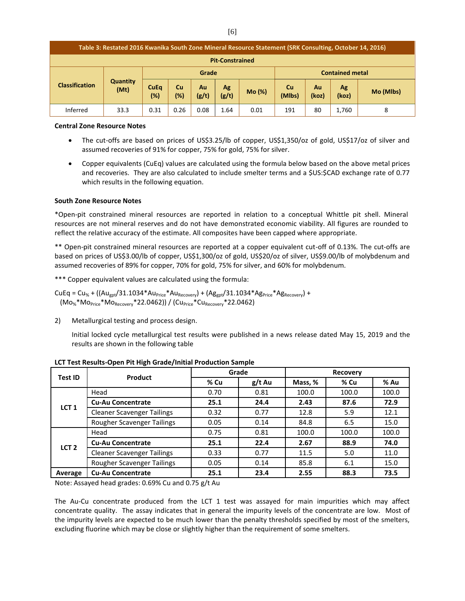| Table 3: Restated 2016 Kwanika South Zone Mineral Resource Statement (SRK Consulting, October 14, 2016) |                         |                       |                  |             |             |                        |                     |             |             |           |
|---------------------------------------------------------------------------------------------------------|-------------------------|-----------------------|------------------|-------------|-------------|------------------------|---------------------|-------------|-------------|-----------|
| <b>Pit-Constrained</b>                                                                                  |                         |                       |                  |             |             |                        |                     |             |             |           |
|                                                                                                         | <b>Quantity</b><br>(Mt) | Grade                 |                  |             |             | <b>Contained metal</b> |                     |             |             |           |
| <b>Classification</b>                                                                                   |                         | <b>CuEq</b><br>$(\%)$ | <b>Cu</b><br>(%) | Au<br>(g/t) | Ag<br>(g/t) | Mo(%)                  | <b>Cu</b><br>(Mlbs) | Au<br>(koz) | Ag<br>(koz) | Mo (Mlbs) |
| Inferred                                                                                                | 33.3                    | 0.31                  | 0.26             | 0.08        | 1.64        | 0.01                   | 191                 | 80          | 1,760       | 8         |

#### **Central Zone Resource Notes**

- The cut-offs are based on prices of US\$3.25/lb of copper, US\$1,350/oz of gold, US\$17/oz of silver and assumed recoveries of 91% for copper, 75% for gold, 75% for silver.
- Copper equivalents (CuEq) values are calculated using the formula below based on the above metal prices and recoveries. They are also calculated to include smelter terms and a \$US:\$CAD exchange rate of 0.77 which results in the following equation.

#### **South Zone Resource Notes**

\*Open-pit constrained mineral resources are reported in relation to a conceptual Whittle pit shell. Mineral resources are not mineral reserves and do not have demonstrated economic viability. All figures are rounded to reflect the relative accuracy of the estimate. All composites have been capped where appropriate.

\*\* Open-pit constrained mineral resources are reported at a copper equivalent cut-off of 0.13%. The cut-offs are based on prices of US\$3.00/lb of copper, US\$1,300/oz of gold, US\$20/oz of silver, US\$9.00/lb of molybdenum and assumed recoveries of 89% for copper, 70% for gold, 75% for silver, and 60% for molybdenum.

\*\*\* Copper equivalent values are calculated using the formula:

 $CuEq = Cu_{%} + ((Au_{gpt}/31.1034*Au_{Price}*Au_{Recovery}) + (Ag_{gpt}/31.1034*Ag_{Price}*Ag_{Recovery}) +$  $(Mo<sub>%</sub>*Mo<sub>Price</sub>*Mo<sub>Recovery</sub>*22.0462)$  /  $(Cu<sub>Price</sub>*Cu<sub>Recovery</sub>*22.0462)$ 

2) Metallurgical testing and process design.

Initial locked cycle metallurgical test results were published in a news release dated May 15, 2019 and the results are shown in the following table

| <b>Test ID</b>   | Product                           |      | Grade    | Recovery |       |       |  |
|------------------|-----------------------------------|------|----------|----------|-------|-------|--|
|                  |                                   | % Cu | $g/t$ Au | Mass, %  | % Cu  | % Au  |  |
|                  | Head                              | 0.70 | 0.81     | 100.0    | 100.0 | 100.0 |  |
|                  | <b>Cu-Au Concentrate</b>          | 25.1 | 24.4     | 2.43     | 87.6  | 72.9  |  |
| LCT <sub>1</sub> | <b>Cleaner Scavenger Tailings</b> | 0.32 | 0.77     | 12.8     | 5.9   | 12.1  |  |
|                  | Rougher Scavenger Tailings        | 0.05 | 0.14     | 84.8     | 6.5   | 15.0  |  |
| LCT <sub>2</sub> | Head                              | 0.75 | 0.81     | 100.0    | 100.0 | 100.0 |  |
|                  | <b>Cu-Au Concentrate</b>          | 25.1 | 22.4     | 2.67     | 88.9  | 74.0  |  |
|                  | <b>Cleaner Scavenger Tailings</b> | 0.33 | 0.77     | 11.5     | 5.0   | 11.0  |  |
|                  | Rougher Scavenger Tailings        | 0.05 | 0.14     | 85.8     | 6.1   | 15.0  |  |
| Average          | <b>Cu-Au Concentrate</b>          | 25.1 | 23.4     | 2.55     | 88.3  | 73.5  |  |

**LCT Test Results-Open Pit High Grade/Initial Production Sample**

Note: Assayed head grades: 0.69% Cu and 0.75 g/t Au

The Au-Cu concentrate produced from the LCT 1 test was assayed for main impurities which may affect concentrate quality. The assay indicates that in general the impurity levels of the concentrate are low. Most of the impurity levels are expected to be much lower than the penalty thresholds specified by most of the smelters, excluding fluorine which may be close or slightly higher than the requirement of some smelters.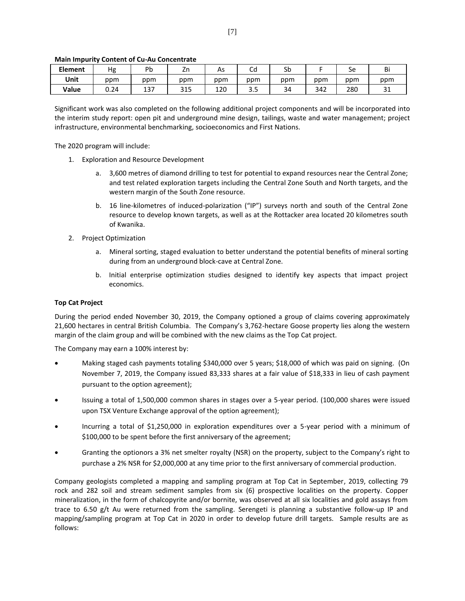| <b>Element</b> | Hg   | Pb  | Zn  | As  | ∽<br>◡u | Sb  |     | Sе  | Bi          |
|----------------|------|-----|-----|-----|---------|-----|-----|-----|-------------|
| Unit           | ppm  | ppm | ppm | ppm | ppm     | ppm | ppm | ppm | ppm         |
| Value          | J.24 | 137 | 315 | 120 | -<br>-  | 34  | 342 | 280 | $\sim$<br>ັ |

#### **Main Impurity Content of Cu-Au Concentrate**

Significant work was also completed on the following additional project components and will be incorporated into the interim study report: open pit and underground mine design, tailings, waste and water management; project infrastructure, environmental benchmarking, socioeconomics and First Nations.

The 2020 program will include:

- 1. Exploration and Resource Development
	- a. 3,600 metres of diamond drilling to test for potential to expand resources near the Central Zone; and test related exploration targets including the Central Zone South and North targets, and the western margin of the South Zone resource.
	- b. 16 line-kilometres of induced-polarization ("IP") surveys north and south of the Central Zone resource to develop known targets, as well as at the Rottacker area located 20 kilometres south of Kwanika.
- 2. Project Optimization
	- a. Mineral sorting, staged evaluation to better understand the potential benefits of mineral sorting during from an underground block-cave at Central Zone.
	- b. Initial enterprise optimization studies designed to identify key aspects that impact project economics.

#### **Top Cat Project**

During the period ended November 30, 2019, the Company optioned a group of claims covering approximately 21,600 hectares in central British Columbia. The Company's 3,762-hectare Goose property lies along the western margin of the claim group and will be combined with the new claims as the Top Cat project.

The Company may earn a 100% interest by:

- Making staged cash payments totaling \$340,000 over 5 years; \$18,000 of which was paid on signing. (On November 7, 2019, the Company issued 83,333 shares at a fair value of \$18,333 in lieu of cash payment pursuant to the option agreement);
- Issuing a total of 1,500,000 common shares in stages over a 5-year period. (100,000 shares were issued upon TSX Venture Exchange approval of the option agreement);
- Incurring a total of \$1,250,000 in exploration expenditures over a 5-year period with a minimum of \$100,000 to be spent before the first anniversary of the agreement;
- Granting the optionors a 3% net smelter royalty (NSR) on the property, subject to the Company's right to purchase a 2% NSR for \$2,000,000 at any time prior to the first anniversary of commercial production.

Company geologists completed a mapping and sampling program at Top Cat in September, 2019, collecting 79 rock and 282 soil and stream sediment samples from six (6) prospective localities on the property. Copper mineralization, in the form of chalcopyrite and/or bornite, was observed at all six localities and gold assays from trace to 6.50 g/t Au were returned from the sampling. Serengeti is planning a substantive follow-up IP and mapping/sampling program at Top Cat in 2020 in order to develop future drill targets. Sample results are as follows: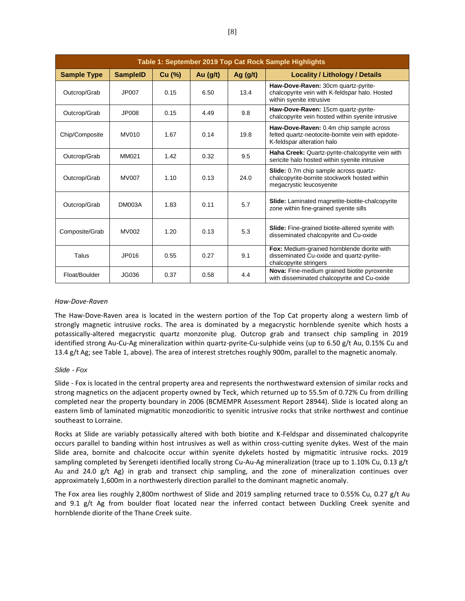| Table 1: September 2019 Top Cat Rock Sample Highlights |                 |        |            |            |                                                                                                                             |  |  |  |
|--------------------------------------------------------|-----------------|--------|------------|------------|-----------------------------------------------------------------------------------------------------------------------------|--|--|--|
| <b>Sample Type</b>                                     | <b>SampleID</b> | Cu (%) | Au $(g/t)$ | Ag $(g/t)$ | <b>Locality / Lithology / Details</b>                                                                                       |  |  |  |
| Outcrop/Grab                                           | JP007           | 0.15   | 6.50       | 13.4       | Haw-Dove-Raven: 30cm quartz-pyrite-<br>chalcopyrite vein with K-feldspar halo. Hosted<br>within syenite intrusive           |  |  |  |
| Outcrop/Grab                                           | JP008           | 0.15   | 4.49       | 9.8        | Haw-Dove-Raven: 15cm quartz-pyrite-<br>chalcopyrite vein hosted within syenite intrusive                                    |  |  |  |
| Chip/Composite                                         | <b>MV010</b>    | 1.67   | 0.14       | 19.8       | Haw-Dove-Raven: 0.4m chip sample across<br>felted quartz-neotocite-bornite vein with epidote-<br>K-feldspar alteration halo |  |  |  |
| Outcrop/Grab                                           | MM021           | 1.42   | 0.32       | 9.5        | Haha Creek: Quartz-pyrite-chalcopyrite vein with<br>sericite halo hosted within syenite intrusive                           |  |  |  |
| Outcrop/Grab                                           | <b>MV007</b>    | 1.10   | 0.13       | 24.0       | Slide: 0.7m chip sample across quartz-<br>chalcopyrite-bornite stockwork hosted within<br>megacrystic leucosyenite          |  |  |  |
| Outcrop/Grab                                           | <b>DM003A</b>   | 1.83   | 0.11       | 5.7        | <b>Slide:</b> Laminated magnetite-biotite-chalcopyrite<br>zone within fine-grained syenite sills                            |  |  |  |
| Composite/Grab                                         | <b>MV002</b>    | 1.20   | 0.13       | 5.3        | Slide: Fine-grained biotite-altered syenite with<br>disseminated chalcopyrite and Cu-oxide                                  |  |  |  |
| Talus                                                  | JP016           | 0.55   | 0.27       | 9.1        | Fox: Medium-grained hornblende diorite with<br>disseminated Cu-oxide and quartz-pyrite-<br>chalcopyrite stringers           |  |  |  |
| Float/Boulder                                          | JG036           | 0.37   | 0.58       | 4.4        | Nova: Fine-medium grained biotite pyroxenite<br>with disseminated chalcopyrite and Cu-oxide                                 |  |  |  |

#### *Haw-Dove-Raven*

The Haw-Dove-Raven area is located in the western portion of the Top Cat property along a western limb of strongly magnetic intrusive rocks. The area is dominated by a megacrystic hornblende syenite which hosts a potassically-altered megacrystic quartz monzonite plug. Outcrop grab and transect chip sampling in 2019 identified strong Au-Cu-Ag mineralization within quartz-pyrite-Cu-sulphide veins (up to 6.50 g/t Au, 0.15% Cu and 13.4 g/t Ag; see Table 1, above). The area of interest stretches roughly 900m, parallel to the magnetic anomaly.

#### *Slide - Fox*

Slide - Fox is located in the central property area and represents the northwestward extension of similar rocks and strong magnetics on the adjacent property owned by Teck, which returned up to 55.5m of 0.72% Cu from drilling completed near the property boundary in 2006 (BCMEMPR Assessment Report 28944). Slide is located along an eastern limb of laminated migmatitic monzodioritic to syenitic intrusive rocks that strike northwest and continue southeast to Lorraine.

Rocks at Slide are variably potassically altered with both biotite and K-Feldspar and disseminated chalcopyrite occurs parallel to banding within host intrusives as well as within cross-cutting syenite dykes. West of the main Slide area, bornite and chalcocite occur within syenite dykelets hosted by migmatitic intrusive rocks. 2019 sampling completed by Serengeti identified locally strong Cu-Au-Ag mineralization (trace up to 1.10% Cu, 0.13 g/t Au and 24.0 g/t Ag) in grab and transect chip sampling, and the zone of mineralization continues over approximately 1,600m in a northwesterly direction parallel to the dominant magnetic anomaly.

The Fox area lies roughly 2,800m northwest of Slide and 2019 sampling returned trace to 0.55% Cu, 0.27 g/t Au and 9.1 g/t Ag from boulder float located near the inferred contact between Duckling Creek syenite and hornblende diorite of the Thane Creek suite.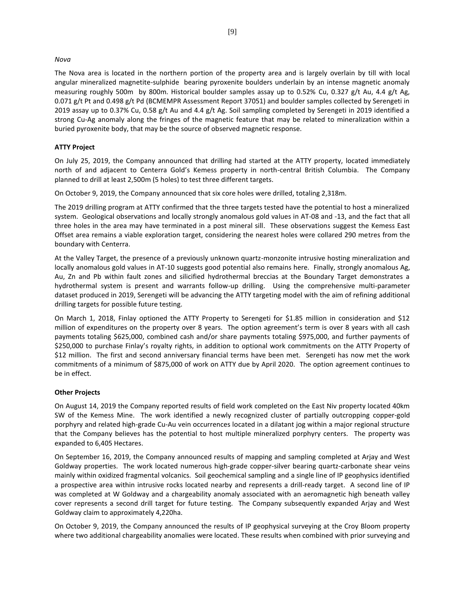#### *Nova*

The Nova area is located in the northern portion of the property area and is largely overlain by till with local angular mineralized magnetite-sulphide bearing pyroxenite boulders underlain by an intense magnetic anomaly measuring roughly 500m by 800m. Historical boulder samples assay up to 0.52% Cu, 0.327 g/t Au, 4.4 g/t Ag, 0.071 g/t Pt and 0.498 g/t Pd (BCMEMPR Assessment Report 37051) and boulder samples collected by Serengeti in 2019 assay up to 0.37% Cu, 0.58 g/t Au and 4.4 g/t Ag. Soil sampling completed by Serengeti in 2019 identified a strong Cu-Ag anomaly along the fringes of the magnetic feature that may be related to mineralization within a buried pyroxenite body, that may be the source of observed magnetic response.

#### **ATTY Project**

On July 25, 2019, the Company announced that drilling had started at the ATTY property, located immediately north of and adjacent to Centerra Gold's Kemess property in north-central British Columbia. The Company planned to drill at least 2,500m (5 holes) to test three different targets.

On October 9, 2019, the Company announced that six core holes were drilled, totaling 2,318m.

The 2019 drilling program at ATTY confirmed that the three targets tested have the potential to host a mineralized system. Geological observations and locally strongly anomalous gold values in AT-08 and -13, and the fact that all three holes in the area may have terminated in a post mineral sill. These observations suggest the Kemess East Offset area remains a viable exploration target, considering the nearest holes were collared 290 metres from the boundary with Centerra.

At the Valley Target, the presence of a previously unknown quartz-monzonite intrusive hosting mineralization and locally anomalous gold values in AT-10 suggests good potential also remains here. Finally, strongly anomalous Ag, Au, Zn and Pb within fault zones and silicified hydrothermal breccias at the Boundary Target demonstrates a hydrothermal system is present and warrants follow-up drilling. Using the comprehensive multi-parameter dataset produced in 2019, Serengeti will be advancing the ATTY targeting model with the aim of refining additional drilling targets for possible future testing.

On March 1, 2018, Finlay optioned the ATTY Property to Serengeti for \$1.85 million in consideration and \$12 million of expenditures on the property over 8 years. The option agreement's term is over 8 years with all cash payments totaling \$625,000, combined cash and/or share payments totaling \$975,000, and further payments of \$250,000 to purchase Finlay's royalty rights, in addition to optional work commitments on the ATTY Property of \$12 million. The first and second anniversary financial terms have been met. Serengeti has now met the work commitments of a minimum of \$875,000 of work on ATTY due by April 2020. The option agreement continues to be in effect.

#### **Other Projects**

On August 14, 2019 the Company reported results of field work completed on the East Niv property located 40km SW of the Kemess Mine. The work identified a newly recognized cluster of partially outcropping copper-gold porphyry and related high-grade Cu-Au vein occurrences located in a dilatant jog within a major regional structure that the Company believes has the potential to host multiple mineralized porphyry centers. The property was expanded to 6,405 Hectares.

On September 16, 2019, the Company announced results of mapping and sampling completed at Arjay and West Goldway properties. The work located numerous high-grade copper-silver bearing quartz-carbonate shear veins mainly within oxidized fragmental volcanics. Soil geochemical sampling and a single line of IP geophysics identified a prospective area within intrusive rocks located nearby and represents a drill-ready target. A second line of IP was completed at W Goldway and a chargeability anomaly associated with an aeromagnetic high beneath valley cover represents a second drill target for future testing. The Company subsequently expanded Arjay and West Goldway claim to approximately 4,220ha.

On October 9, 2019, the Company announced the results of IP geophysical surveying at the Croy Bloom property where two additional chargeability anomalies were located. These results when combined with prior surveying and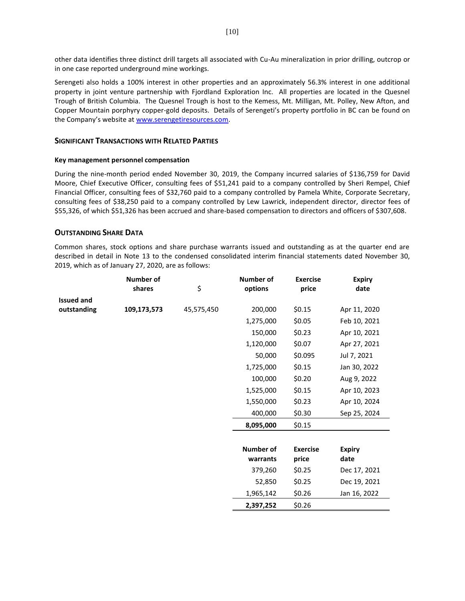other data identifies three distinct drill targets all associated with Cu-Au mineralization in prior drilling, outcrop or in one case reported underground mine workings.

Serengeti also holds a 100% interest in other properties and an approximately 56.3% interest in one additional property in joint venture partnership with Fjordland Exploration Inc. All properties are located in the Quesnel Trough of British Columbia. The Quesnel Trough is host to the Kemess, Mt. Milligan, Mt. Polley, New Afton, and Copper Mountain porphyry copper-gold deposits. Details of Serengeti's property portfolio in BC can be found on the Company's website at [www.serengetiresources.com.](http://www.serengetiresources.com/)

#### **SIGNIFICANT TRANSACTIONS WITH RELATED PARTIES**

#### **Key management personnel compensation**

During the nine-month period ended November 30, 2019, the Company incurred salaries of \$136,759 for David Moore, Chief Executive Officer, consulting fees of \$51,241 paid to a company controlled by Sheri Rempel, Chief Financial Officer, consulting fees of \$32,760 paid to a company controlled by Pamela White, Corporate Secretary, consulting fees of \$38,250 paid to a company controlled by Lew Lawrick, independent director, director fees of \$55,326, of which \$51,326 has been accrued and share-based compensation to directors and officers of \$307,608.

# **OUTSTANDING SHARE DATA**

Common shares, stock options and share purchase warrants issued and outstanding as at the quarter end are described in detail in Note 13 to the condensed consolidated interim financial statements dated November 30, 2019, which as of January 27, 2020, are as follows:

|                   | <b>Number of</b> |            | <b>Number of</b> | <b>Exercise</b> | <b>Expiry</b> |
|-------------------|------------------|------------|------------------|-----------------|---------------|
|                   | shares           | \$         | options          | price           | date          |
| <b>Issued and</b> |                  |            |                  |                 |               |
| outstanding       | 109,173,573      | 45,575,450 | 200,000          | \$0.15          | Apr 11, 2020  |
|                   |                  |            | 1,275,000        | \$0.05          | Feb 10, 2021  |
|                   |                  |            | 150,000          | \$0.23          | Apr 10, 2021  |
|                   |                  |            | 1,120,000        | \$0.07          | Apr 27, 2021  |
|                   |                  |            | 50,000           | \$0.095         | Jul 7, 2021   |
|                   |                  |            | 1,725,000        | \$0.15          | Jan 30, 2022  |
|                   |                  |            | 100,000          | \$0.20          | Aug 9, 2022   |
|                   |                  |            | 1,525,000        | \$0.15          | Apr 10, 2023  |
|                   |                  |            | 1,550,000        | \$0.23          | Apr 10, 2024  |
|                   |                  |            | 400,000          | \$0.30          | Sep 25, 2024  |
|                   |                  |            | 8,095,000        | \$0.15          |               |
|                   |                  |            |                  |                 |               |
|                   |                  |            | <b>Number of</b> | <b>Exercise</b> | <b>Expiry</b> |
|                   |                  |            | warrants         | price           | date          |
|                   |                  |            | 379,260          | \$0.25          | Dec 17, 2021  |
|                   |                  |            | 52,850           | \$0.25          | Dec 19, 2021  |
|                   |                  |            | 1,965,142        | \$0.26          | Jan 16, 2022  |
|                   |                  |            | 2,397,252        | \$0.26          |               |